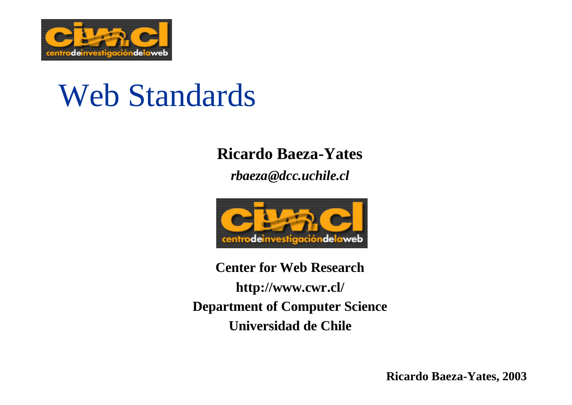

# Web Standards

#### **Ricardo Baeza-Yates**

*rbaeza@dcc.uchile.cl*



**Center for Web Research http://www.cwr.cl/ Department of Computer Science Universidad de Chile**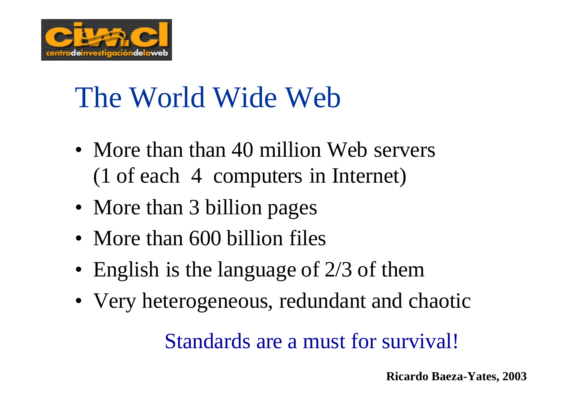

# The World Wide Web

- More than than 40 million Web servers (1 of each 4 computers in Internet)
- More than 3 billion pages
- More than 600 billion files
- English is the language of 2/3 of them
- Very heterogeneous, redundant and chaotic

Standards are a must for survival!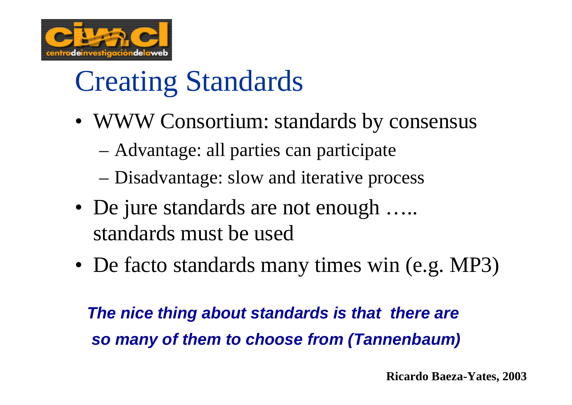

# Creating Standards

- WWW Consortium: standards by consensus
	- Advantage: all parties can participate
	- Disadvantage: slow and iterative process
- De jure standards are not enough ..... standards must be used
- De facto standards many times win (e.g. MP3)

*The nice thing about standards is that there are so many of them to choose from (Tannenbaum)*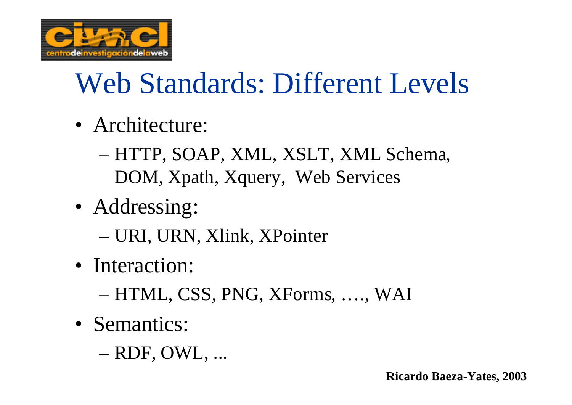

# Web Standards: Different Levels

- Architecture:
	- HTTP, SOAP, XML, XSLT, XML Schema, DOM, Xpath, Xquery, Web Services
- Addressing:
	- URI, URN, Xlink, XPointer
- Interaction:
	- HTML, CSS, PNG, XForms, …., WAI
- Semantics:
	- RDF, OWL, ...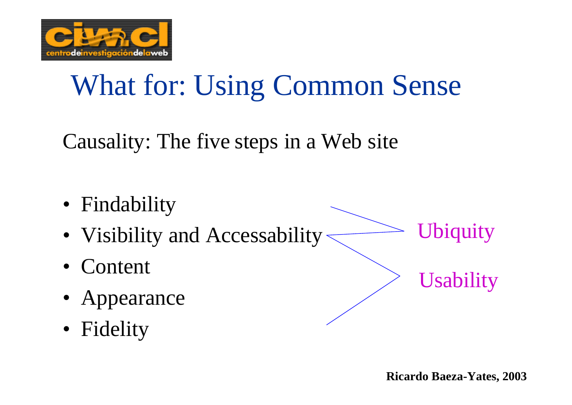

## What for: Using Common Sense

Causality: The five steps in a Web site

- Findability
- Visibility and Accessability Ubiquity
- Content
- Appearance
- Fidelity

**Usability**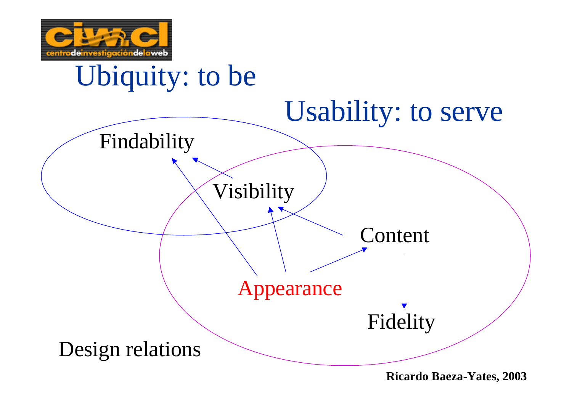

## Ubiquity: to be

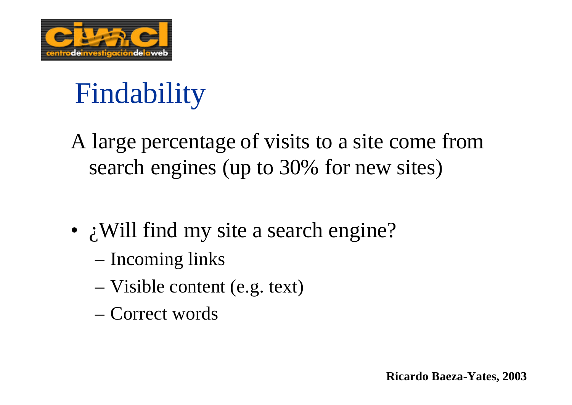

## Findability

A large percentage of visits to a site come from search engines (up to 30% for new sites)

- *i* Will find my site a search engine?
	- Incoming links
	- Visible content (e.g. text)
	- Correct words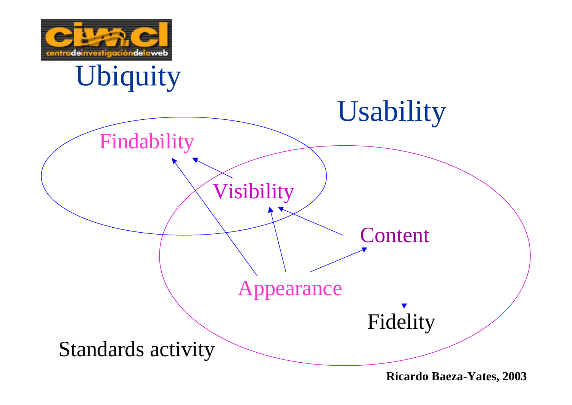

## Ubiquity

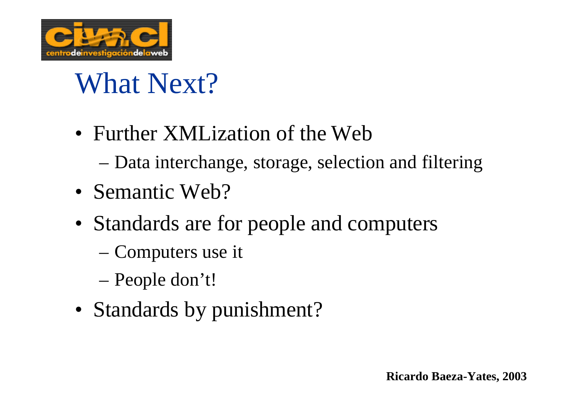

## What Next?

- Further XMLization of the Web
	- Data interchange, storage, selection and filtering
- Semantic Web?
- Standards are for people and computers
	- Computers use it
	- People don't!
- Standards by punishment?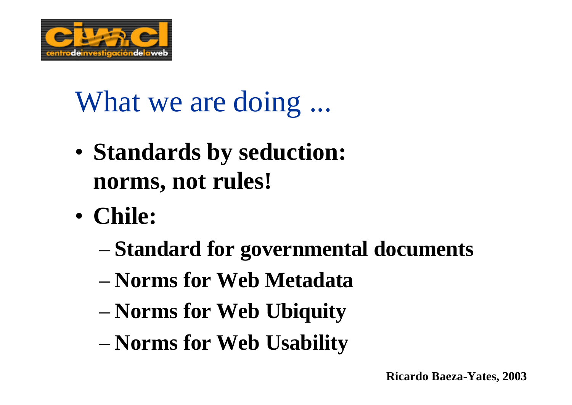

## What we are doing ...

- **Standards by seduction: norms, not rules!**
- **Chile:**
	- **Standard for governmental documents**
	- **Norms for Web Metadata**
	- **Norms for Web Ubiquity**
	- **Norms for Web Usability**